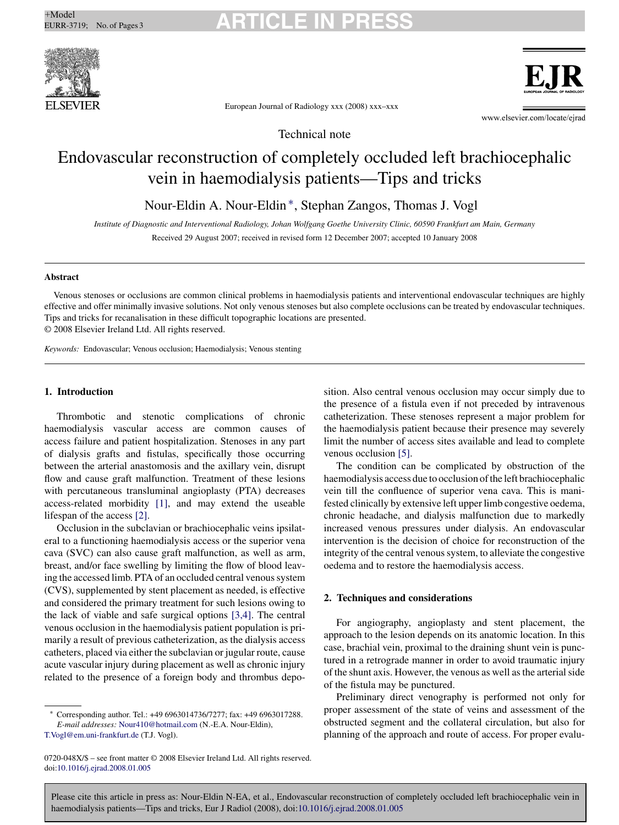# <sup>+Model</sup> EURR-3719; No. of Pages 3 **ARTICLE IN PRESS**





European Journal of Radiology xxx (2008) xxx–xxx

www.elsevier.com/locate/ejrad

Technical note

## Endovascular reconstruction of completely occluded left brachiocephalic vein in haemodialysis patients—Tips and tricks

Nour-Eldin A. Nour-Eldin ∗, Stephan Zangos, Thomas J. Vogl

*Institute of Diagnostic and Interventional Radiology, Johan Wolfgang Goethe University Clinic, 60590 Frankfurt am Main, Germany* Received 29 August 2007; received in revised form 12 December 2007; accepted 10 January 2008

### **Abstract**

Venous stenoses or occlusions are common clinical problems in haemodialysis patients and interventional endovascular techniques are highly effective and offer minimally invasive solutions. Not only venous stenoses but also complete occlusions can be treated by endovascular techniques. Tips and tricks for recanalisation in these difficult topographic locations are presented. © 2008 Elsevier Ireland Ltd. All rights reserved.

*Keywords:* Endovascular; Venous occlusion; Haemodialysis; Venous stenting

## **1. Introduction**

Thrombotic and stenotic complications of chronic haemodialysis vascular access are common causes of access failure and patient hospitalization. Stenoses in any part of dialysis grafts and fistulas, specifically those occurring between the arterial anastomosis and the axillary vein, disrupt flow and cause graft malfunction. Treatment of these lesions with percutaneous transluminal angioplasty (PTA) decreases access-related morbidity [\[1\],](#page-2-0) and may extend the useable lifespan of the access [\[2\].](#page-2-0)

Occlusion in the subclavian or brachiocephalic veins ipsilateral to a functioning haemodialysis access or the superior vena cava (SVC) can also cause graft malfunction, as well as arm, breast, and/or face swelling by limiting the flow of blood leaving the accessed limb. PTA of an occluded central venous system (CVS), supplemented by stent placement as needed, is effective and considered the primary treatment for such lesions owing to the lack of viable and safe surgical options [\[3,4\].](#page-2-0) The central venous occlusion in the haemodialysis patient population is primarily a result of previous catheterization, as the dialysis access catheters, placed via either the subclavian or jugular route, cause acute vascular injury during placement as well as chronic injury related to the presence of a foreign body and thrombus depo-

0720-048X/\$ – see front matter © 2008 Elsevier Ireland Ltd. All rights reserved. doi[:10.1016/j.ejrad.2008.01.005](dx.doi.org/10.1016/j.ejrad.2008.01.005)

sition. Also central venous occlusion may occur simply due to the presence of a fistula even if not preceded by intravenous catheterization. These stenoses represent a major problem for the haemodialysis patient because their presence may severely limit the number of access sites available and lead to complete venous occlusion [\[5\].](#page-2-0)

The condition can be complicated by obstruction of the haemodialysis access due to occlusion of the left brachiocephalic vein till the confluence of superior vena cava. This is manifested clinically by extensive left upper limb congestive oedema, chronic headache, and dialysis malfunction due to markedly increased venous pressures under dialysis. An endovascular intervention is the decision of choice for reconstruction of the integrity of the central venous system, to alleviate the congestive oedema and to restore the haemodialysis access.

## **2. Techniques and considerations**

For angiography, angioplasty and stent placement, the approach to the lesion depends on its anatomic location. In this case, brachial vein, proximal to the draining shunt vein is punctured in a retrograde manner in order to avoid traumatic injury of the shunt axis. However, the venous as well as the arterial side of the fistula may be punctured.

Preliminary direct venography is performed not only for proper assessment of the state of veins and assessment of the obstructed segment and the collateral circulation, but also for planning of the approach and route of access. For proper evalu-

Please cite this article in press as: Nour-Eldin N-EA, et al., Endovascular reconstruction of completely occluded left brachiocephalic vein in haemodialysis patients—Tips and tricks, Eur J Radiol (2008), doi:[10.1016/j.ejrad.2008.01.005](dx.doi.org/10.1016/j.ejrad.2008.01.005)

<sup>∗</sup> Corresponding author. Tel.: +49 6963014736/7277; fax: +49 6963017288. *E-mail addresses:* [Nour410@hotmail.com](mailto:Nour410@hotmail.com) (N.-E.A. Nour-Eldin),

[T.Vogl@em.uni-frankfurt.de](mailto:T.Vogl@em.uni-frankfurt.de) (T.J. Vogl).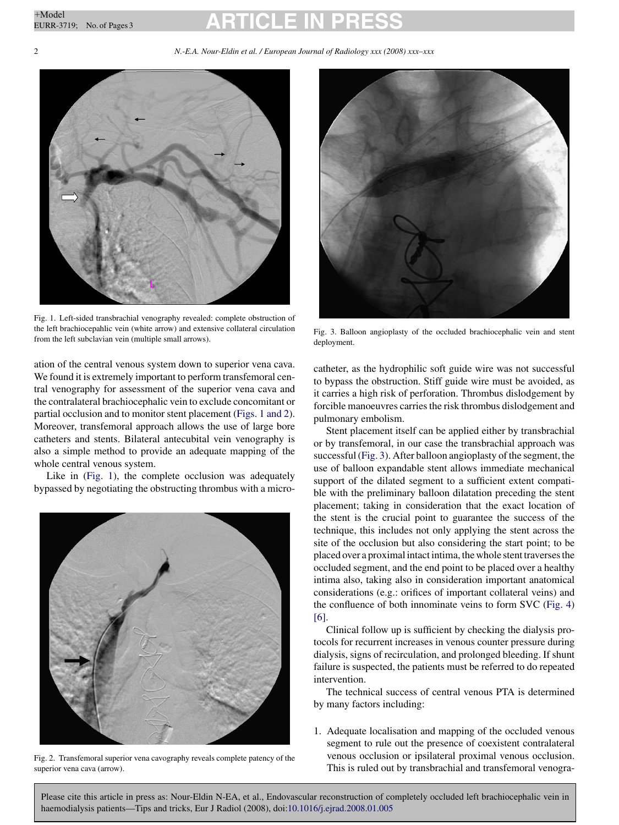# <sup>+Model</sup> EURR-3719; No. of Pages 3 **ARTICLE IN PRESS**

### 2 *N.-E.A. Nour-Eldin et al. / European Journal of Radiology xxx (2008) xxx–xxx*



Fig. 1. Left-sided transbrachial venography revealed: complete obstruction of the left brachiocepahlic vein (white arrow) and extensive collateral circulation from the left subclavian vein (multiple small arrows).

ation of the central venous system down to superior vena cava. We found it is extremely important to perform transfemoral central venography for assessment of the superior vena cava and the contralateral brachiocephalic vein to exclude concomitant or partial occlusion and to monitor stent placement (Figs. 1 and 2). Moreover, transfemoral approach allows the use of large bore catheters and stents. Bilateral antecubital vein venography is also a simple method to provide an adequate mapping of the whole central venous system.

Like in (Fig. 1), the complete occlusion was adequately bypassed by negotiating the obstructing thrombus with a micro-



Fig. 2. Transfemoral superior vena cavography reveals complete patency of the superior vena cava (arrow).



Fig. 3. Balloon angioplasty of the occluded brachiocephalic vein and stent deployment.

catheter, as the hydrophilic soft guide wire was not successful to bypass the obstruction. Stiff guide wire must be avoided, as it carries a high risk of perforation. Thrombus dislodgement by forcible manoeuvres carries the risk thrombus dislodgement and pulmonary embolism.

Stent placement itself can be applied either by transbrachial or by transfemoral, in our case the transbrachial approach was successful (Fig. 3). After balloon angioplasty of the segment, the use of balloon expandable stent allows immediate mechanical support of the dilated segment to a sufficient extent compatible with the preliminary balloon dilatation preceding the stent placement; taking in consideration that the exact location of the stent is the crucial point to guarantee the success of the technique, this includes not only applying the stent across the site of the occlusion but also considering the start point; to be placed over a proximal intact intima, the whole stent traverses the occluded segment, and the end point to be placed over a healthy intima also, taking also in consideration important anatomical considerations (e.g.: orifices of important collateral veins) and the confluence of both innominate veins to form SVC ([Fig. 4\)](#page-2-0) [\[6\].](#page-2-0)

Clinical follow up is sufficient by checking the dialysis protocols for recurrent increases in venous counter pressure during dialysis, signs of recirculation, and prolonged bleeding. If shunt failure is suspected, the patients must be referred to do repeated intervention.

The technical success of central venous PTA is determined by many factors including:

1. Adequate localisation and mapping of the occluded venous segment to rule out the presence of coexistent contralateral venous occlusion or ipsilateral proximal venous occlusion. This is ruled out by transbrachial and transfemoral venogra-

Please cite this article in press as: Nour-Eldin N-EA, et al., Endovascular reconstruction of completely occluded left brachiocephalic vein in haemodialysis patients—Tips and tricks, Eur J Radiol (2008), doi:[10.1016/j.ejrad.2008.01.005](dx.doi.org/10.1016/j.ejrad.2008.01.005)